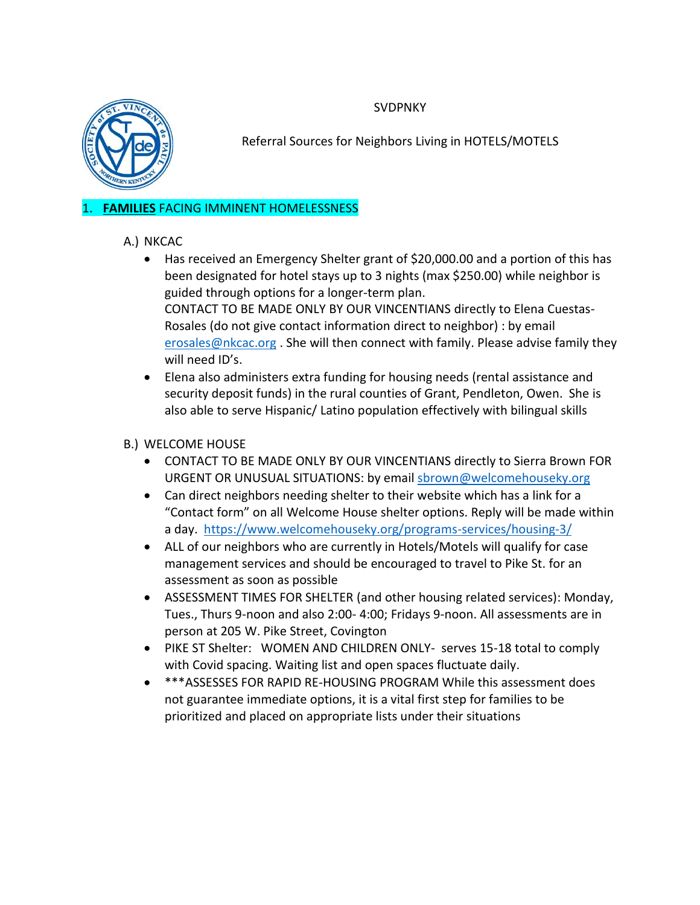**SVDPNKY** 



Referral Sources for Neighbors Living in HOTELS/MOTELS

### 1. **FAMILIES** FACING IMMINENT HOMELESSNESS

# A.) NKCAC

- Has received an Emergency Shelter grant of \$20,000.00 and a portion of this has been designated for hotel stays up to 3 nights (max \$250.00) while neighbor is guided through options for a longer-term plan. CONTACT TO BE MADE ONLY BY OUR VINCENTIANS directly to Elena Cuestas-Rosales (do not give contact information direct to neighbor) : by email [erosales@nkcac.org](mailto:erosales@nkcac.org). She will then connect with family. Please advise family they will need ID's.
- Elena also administers extra funding for housing needs (rental assistance and security deposit funds) in the rural counties of Grant, Pendleton, Owen. She is also able to serve Hispanic/ Latino population effectively with bilingual skills

### B.) WELCOME HOUSE

- CONTACT TO BE MADE ONLY BY OUR VINCENTIANS directly to Sierra Brown FOR URGENT OR UNUSUAL SITUATIONS: by email [sbrown@welcomehouseky.org](mailto:sbrown@welcomehouseky.org)
- Can direct neighbors needing shelter to their website which has a link for a "Contact form" on all Welcome House shelter options. Reply will be made within a day. <https://www.welcomehouseky.org/programs-services/housing-3/>
- ALL of our neighbors who are currently in Hotels/Motels will qualify for case management services and should be encouraged to travel to Pike St. for an assessment as soon as possible
- ASSESSMENT TIMES FOR SHELTER (and other housing related services): Monday, Tues., Thurs 9-noon and also 2:00- 4:00; Fridays 9-noon. All assessments are in person at 205 W. Pike Street, Covington
- PIKE ST Shelter: WOMEN AND CHILDREN ONLY- serves 15-18 total to comply with Covid spacing. Waiting list and open spaces fluctuate daily.
- \*\*\*ASSESSES FOR RAPID RE-HOUSING PROGRAM While this assessment does not guarantee immediate options, it is a vital first step for families to be prioritized and placed on appropriate lists under their situations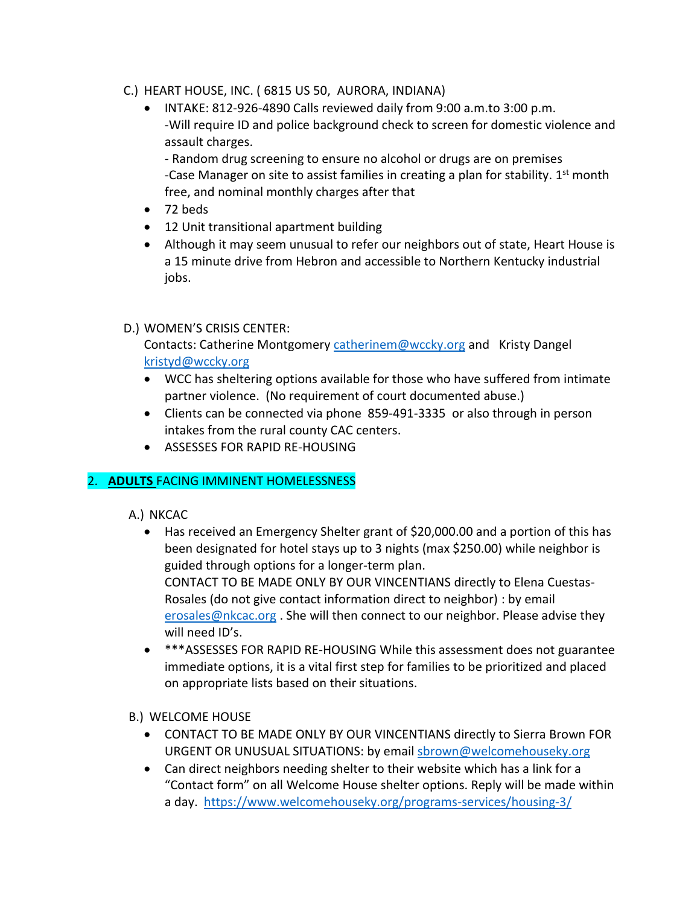#### C.) HEART HOUSE, INC. ( 6815 US 50, AURORA, INDIANA)

 INTAKE: 812-926-4890 Calls reviewed daily from 9:00 a.m.to 3:00 p.m. -Will require ID and police background check to screen for domestic violence and assault charges.

- Random drug screening to ensure no alcohol or drugs are on premises -Case Manager on site to assist families in creating a plan for stability.  $1<sup>st</sup>$  month free, and nominal monthly charges after that

- 72 beds
- 12 Unit transitional apartment building
- Although it may seem unusual to refer our neighbors out of state, Heart House is a 15 minute drive from Hebron and accessible to Northern Kentucky industrial jobs.

### D.) WOMEN'S CRISIS CENTER:

Contacts: Catherine Montgomery [catherinem@wccky.org](mailto:catherinem@wccky.org) and Kristy Dangel [kristyd@wccky.org](mailto:kristyd@wccky.org)

- WCC has sheltering options available for those who have suffered from intimate partner violence. (No requirement of court documented abuse.)
- Clients can be connected via phone 859-491-3335 or also through in person intakes from the rural county CAC centers.
- ASSESSES FOR RAPID RE-HOUSING

# 2. **ADULTS** FACING IMMINENT HOMELESSNESS

A.) NKCAC

- Has received an Emergency Shelter grant of \$20,000.00 and a portion of this has been designated for hotel stays up to 3 nights (max \$250.00) while neighbor is guided through options for a longer-term plan. CONTACT TO BE MADE ONLY BY OUR VINCENTIANS directly to Elena Cuestas-Rosales (do not give contact information direct to neighbor) : by email [erosales@nkcac.org](mailto:erosales@nkcac.org). She will then connect to our neighbor. Please advise they will need ID's.
- \*\*\*ASSESSES FOR RAPID RE-HOUSING While this assessment does not guarantee immediate options, it is a vital first step for families to be prioritized and placed on appropriate lists based on their situations.

# B.) WELCOME HOUSE

- CONTACT TO BE MADE ONLY BY OUR VINCENTIANS directly to Sierra Brown FOR URGENT OR UNUSUAL SITUATIONS: by email [sbrown@welcomehouseky.org](mailto:sbrown@welcomehouseky.org)
- Can direct neighbors needing shelter to their website which has a link for a "Contact form" on all Welcome House shelter options. Reply will be made within a day. <https://www.welcomehouseky.org/programs-services/housing-3/>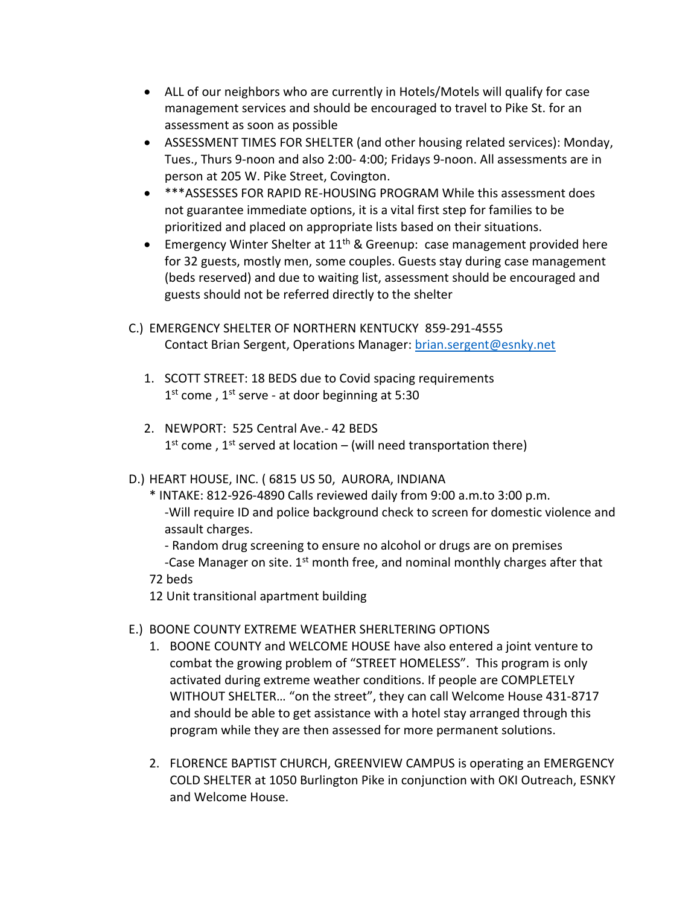- ALL of our neighbors who are currently in Hotels/Motels will qualify for case management services and should be encouraged to travel to Pike St. for an assessment as soon as possible
- ASSESSMENT TIMES FOR SHELTER (and other housing related services): Monday, Tues., Thurs 9-noon and also 2:00- 4:00; Fridays 9-noon. All assessments are in person at 205 W. Pike Street, Covington.
- \*\*\*ASSESSES FOR RAPID RE-HOUSING PROGRAM While this assessment does not guarantee immediate options, it is a vital first step for families to be prioritized and placed on appropriate lists based on their situations.
- **Emergency Winter Shelter at 11<sup>th</sup> & Greenup: case management provided here** for 32 guests, mostly men, some couples. Guests stay during case management (beds reserved) and due to waiting list, assessment should be encouraged and guests should not be referred directly to the shelter
- C.) EMERGENCY SHELTER OF NORTHERN KENTUCKY 859-291-4555 Contact Brian Sergent, Operations Manager: [brian.sergent@esnky.net](mailto:brian.sergent@esnky.net)
	- 1. SCOTT STREET: 18 BEDS due to Covid spacing requirements 1<sup>st</sup> come, 1<sup>st</sup> serve - at door beginning at 5:30
	- 2. NEWPORT: 525 Central Ave.- 42 BEDS  $1<sup>st</sup>$  come,  $1<sup>st</sup>$  served at location – (will need transportation there)
- D.) HEART HOUSE, INC. ( 6815 US 50, AURORA, INDIANA
	- \* INTAKE: 812-926-4890 Calls reviewed daily from 9:00 a.m.to 3:00 p.m. -Will require ID and police background check to screen for domestic violence and assault charges.
		- Random drug screening to ensure no alcohol or drugs are on premises
	- -Case Manager on site.  $1^{st}$  month free, and nominal monthly charges after that 72 beds
	- 12 Unit transitional apartment building
- E.) BOONE COUNTY EXTREME WEATHER SHERLTERING OPTIONS
	- 1. BOONE COUNTY and WELCOME HOUSE have also entered a joint venture to combat the growing problem of "STREET HOMELESS". This program is only activated during extreme weather conditions. If people are COMPLETELY WITHOUT SHELTER… "on the street", they can call Welcome House 431-8717 and should be able to get assistance with a hotel stay arranged through this program while they are then assessed for more permanent solutions.
	- 2. FLORENCE BAPTIST CHURCH, GREENVIEW CAMPUS is operating an EMERGENCY COLD SHELTER at 1050 Burlington Pike in conjunction with OKI Outreach, ESNKY and Welcome House.